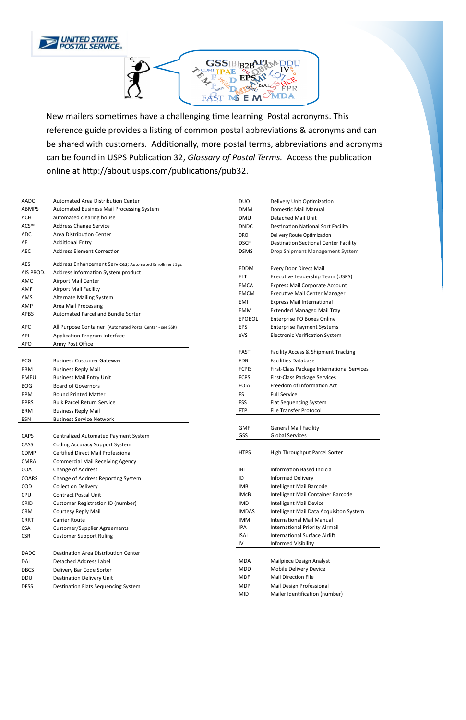



New mailers sometimes have a challenging time learning Postal acronyms. This reference guide provides a listing of common postal abbreviations & acronyms and can be shared with customers. Additionally, more postal terms, abbreviations and acronyms can be found in USPS Publication 32, *Glossary of Postal Terms.* Access the publication online at http://about.usps.com/publications/pub32.

| <b>AADC</b>  | Automated Area Distribution Center                        | <b>DUO</b>    | Delivery Unit Optimization                   |
|--------------|-----------------------------------------------------------|---------------|----------------------------------------------|
| <b>ABMPS</b> | Automated Business Mail Processing System                 | <b>DMM</b>    | Domestic Mail Manual                         |
| <b>ACH</b>   | automated clearing house                                  | <b>DMU</b>    | Detached Mail Unit                           |
| ACS™         | <b>Address Change Service</b>                             | <b>DNDC</b>   | <b>Destination National Sort Facility</b>    |
| ADC          | <b>Area Distribution Center</b>                           | <b>DRO</b>    | Delivery Route Optimization                  |
| AE           | <b>Additional Entry</b>                                   | <b>DSCF</b>   | <b>Destination Sectional Center Facility</b> |
| AEC          | <b>Address Element Correction</b>                         | <b>DSMS</b>   | Drop Shipment Management System              |
|              |                                                           |               |                                              |
| AES          | Address Enhancement Services; Automated Enrollment Sys.   | <b>EDDM</b>   | Every Door Direct Mail                       |
| AIS PROD.    | Address Information System product                        | ELT           | Executive Leadership Team (USPS)             |
| AMC          | <b>Airport Mail Center</b>                                | <b>EMCA</b>   | <b>Express Mail Corporate Account</b>        |
| AMF          | Airport Mail Facility                                     | <b>EMCM</b>   | <b>Executive Mail Center Manager</b>         |
| AMS          | <b>Alternate Mailing System</b>                           | <b>EMI</b>    | <b>Express Mail International</b>            |
| AMP          | <b>Area Mail Processing</b>                               | <b>EMM</b>    | <b>Extended Managed Mail Tray</b>            |
| APBS         | Automated Parcel and Bundle Sorter                        | <b>EPOBOL</b> | Enterprise PO Boxes Online                   |
|              |                                                           |               |                                              |
| <b>APC</b>   | All Purpose Container (Automated Postal Center - see SSK) | <b>EPS</b>    | <b>Enterprise Payment Systems</b>            |
| API          | Application Program Interface                             | eVS           | <b>Electronic Verification System</b>        |
| <b>APO</b>   | Army Post Office                                          |               |                                              |
|              |                                                           | <b>FAST</b>   | Facility Access & Shipment Tracking          |
| <b>BCG</b>   | <b>Business Customer Gateway</b>                          | <b>FDB</b>    | <b>Facilities Database</b>                   |
| <b>BBM</b>   | <b>Business Reply Mail</b>                                | <b>FCPIS</b>  | First-Class Package International Services   |
| <b>BMEU</b>  | <b>Business Mail Entry Unit</b>                           | <b>FCPS</b>   | First-Class Package Services                 |
| <b>BOG</b>   | <b>Board of Governors</b>                                 | <b>FOIA</b>   | Freedom of Information Act                   |
| <b>BPM</b>   | <b>Bound Printed Matter</b>                               | FS.           | <b>Full Service</b>                          |
| <b>BPRS</b>  | <b>Bulk Parcel Return Service</b>                         | <b>FSS</b>    | Flat Sequencing System                       |
| <b>BRM</b>   | <b>Business Reply Mail</b>                                | <b>FTP</b>    | File Transfer Protocol                       |
| <b>BSN</b>   | <b>Business Service Network</b>                           |               |                                              |
|              |                                                           | <b>GMF</b>    | <b>General Mail Facility</b>                 |
| <b>CAPS</b>  | Centralized Automated Payment System                      | GSS           | <b>Global Services</b>                       |
| CASS         | <b>Coding Accuracy Support System</b>                     |               |                                              |
| CDMP         | <b>Certified Direct Mail Professional</b>                 | <b>HTPS</b>   | High Throughput Parcel Sorter                |
| <b>CMRA</b>  | <b>Commercial Mail Receiving Agency</b>                   |               |                                              |
| COA          | Change of Address                                         | IBI           | <b>Information Based Indicia</b>             |
| COARS        | Change of Address Reporting System                        | ID            | Informed Delivery                            |
| COD          | Collect on Delivery                                       | <b>IMB</b>    | Intelligent Mail Barcode                     |
| CPU          | <b>Contract Postal Unit</b>                               | <b>IMcB</b>   | Intelligent Mail Container Barcode           |
| CRID         | <b>Customer Registration ID (number)</b>                  | <b>IMD</b>    | Intelligent Mail Device                      |
| <b>CRM</b>   | Courtesy Reply Mail                                       | <b>IMDAS</b>  | Intelligent Mail Data Acquisiton System      |
| <b>CRRT</b>  | Carrier Route                                             | <b>IMM</b>    | International Mail Manual                    |
| <b>CSA</b>   | <b>Customer/Supplier Agreements</b>                       | IPA           | International Priority Airmail               |
| <b>CSR</b>   | <b>Customer Support Ruling</b>                            | <b>ISAL</b>   | <b>International Surface Airlift</b>         |
|              |                                                           | ${\sf IV}$    | Informed Visibility                          |
| DADC         | Destination Area Distribution Center                      |               |                                              |
| DAL          | <b>Detached Address Label</b>                             | <b>MDA</b>    | Mailpiece Design Analyst                     |
| <b>DBCS</b>  | Delivery Bar Code Sorter                                  | <b>MDD</b>    | Mobile Delivery Device                       |
| DDU          | Destination Delivery Unit                                 | <b>MDF</b>    | Mail Direction File                          |
| <b>DFSS</b>  | Destination Flats Sequencing System                       | <b>MDP</b>    | Mail Design Professional                     |
|              |                                                           | <b>MID</b>    | Mailer Identification (number)               |
|              |                                                           |               |                                              |